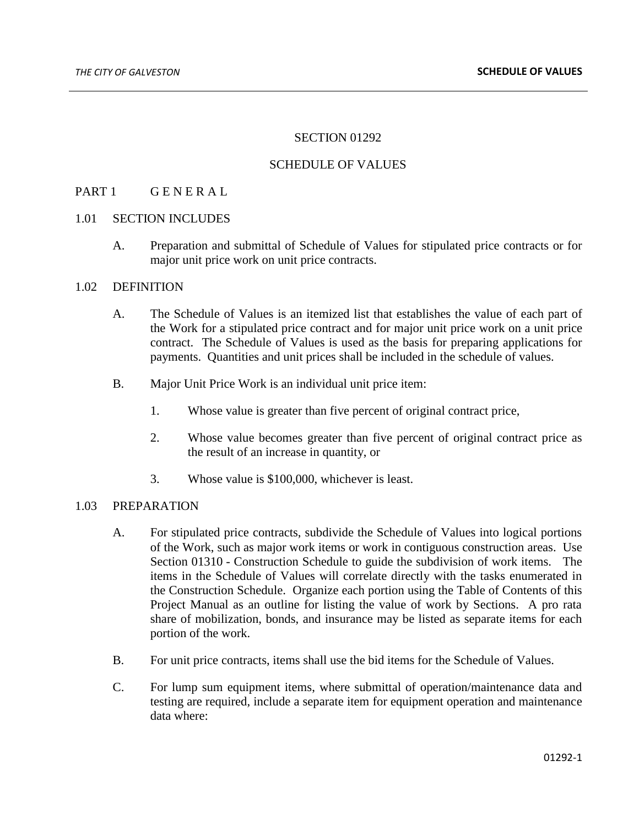## SECTION 01292

#### SCHEDULE OF VALUES

## PART 1 GENERAL

#### 1.01 SECTION INCLUDES

A. Preparation and submittal of Schedule of Values for stipulated price contracts or for major unit price work on unit price contracts.

## 1.02 DEFINITION

- A. The Schedule of Values is an itemized list that establishes the value of each part of the Work for a stipulated price contract and for major unit price work on a unit price contract. The Schedule of Values is used as the basis for preparing applications for payments. Quantities and unit prices shall be included in the schedule of values.
- B. Major Unit Price Work is an individual unit price item:
	- 1. Whose value is greater than five percent of original contract price,
	- 2. Whose value becomes greater than five percent of original contract price as the result of an increase in quantity, or
	- 3. Whose value is \$100,000, whichever is least.

# 1.03 PREPARATION

- A. For stipulated price contracts, subdivide the Schedule of Values into logical portions of the Work, such as major work items or work in contiguous construction areas. Use Section 01310 - Construction Schedule to guide the subdivision of work items. The items in the Schedule of Values will correlate directly with the tasks enumerated in the Construction Schedule. Organize each portion using the Table of Contents of this Project Manual as an outline for listing the value of work by Sections. A pro rata share of mobilization, bonds, and insurance may be listed as separate items for each portion of the work.
- B. For unit price contracts, items shall use the bid items for the Schedule of Values.
- C. For lump sum equipment items, where submittal of operation/maintenance data and testing are required, include a separate item for equipment operation and maintenance data where: